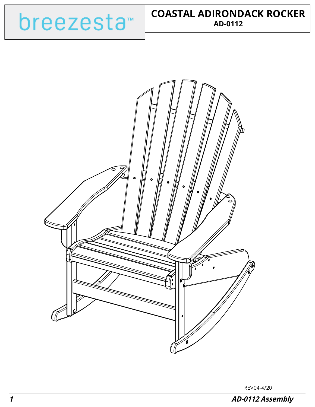



REV04-4/20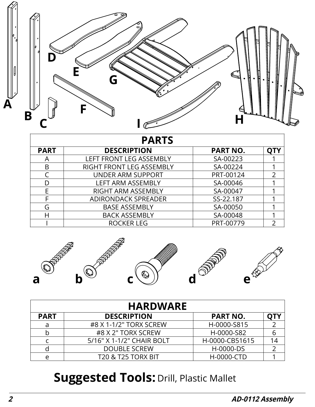

| <b>PARTS</b> |                            |                 |  |  |
|--------------|----------------------------|-----------------|--|--|
| <b>PART</b>  | <b>DESCRIPTION</b>         | <b>PART NO.</b> |  |  |
|              | LEFT FRONT LEG ASSEMBLY    | SA-00223        |  |  |
| B            | RIGHT FRONT LEG ASSEMBLY   | SA-00224        |  |  |
|              | <b>UNDER ARM SUPPORT</b>   | PRT-00124       |  |  |
| D            | <b>LEFT ARM ASSEMBLY</b>   | SA-00046        |  |  |
| E            | RIGHT ARM ASSEMBLY         | SA-00047        |  |  |
|              | <b>ADIRONDACK SPREADER</b> | SS-22.187       |  |  |
| G            | <b>BASE ASSEMBLY</b>       | SA-00050        |  |  |
| Н            | <b>BACK ASSEMBLY</b>       | SA-00048        |  |  |
|              | ROCKER LEG                 | PRT-00779       |  |  |



| <b>HARDWARE</b> |                               |                 |    |  |
|-----------------|-------------------------------|-----------------|----|--|
| <b>PART</b>     | <b>DESCRIPTION</b>            | <b>PART NO.</b> |    |  |
| a               | #8 X 1-1/2" TORX SCREW        | H-0000-S815     |    |  |
| b               | #8 X 2" TORX SCREW            | H-0000-S82      | 6  |  |
| C               | 5/16" X 1-1/2" CHAIR BOLT     | H-0000-CB51615  | 14 |  |
|                 | <b>DOUBLE SCREW</b>           | H-0000-DS       |    |  |
| e               | <b>T20 &amp; T25 TORX BIT</b> | H-0000-CTD      |    |  |

## **Suggested Tools: Drill, Plastic Mallet**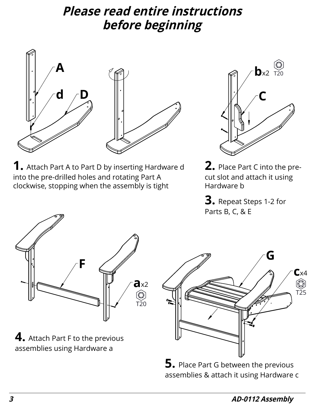## **Please read entire instructions before beginning**



**1.** Attach Part A to Part D by inserting Hardware d into the pre-drilled holes and rotating Part A clockwise, stopping when the assembly is tight



**2.** Place Part C into the precut slot and attach it using Hardware b

**3.** Repeat Steps 1-2 for Parts B, C, & E



**4.** Attach Part F to the previous assemblies using Hardware a



**5.** Place Part G between the previous assemblies & attach it using Hardware c